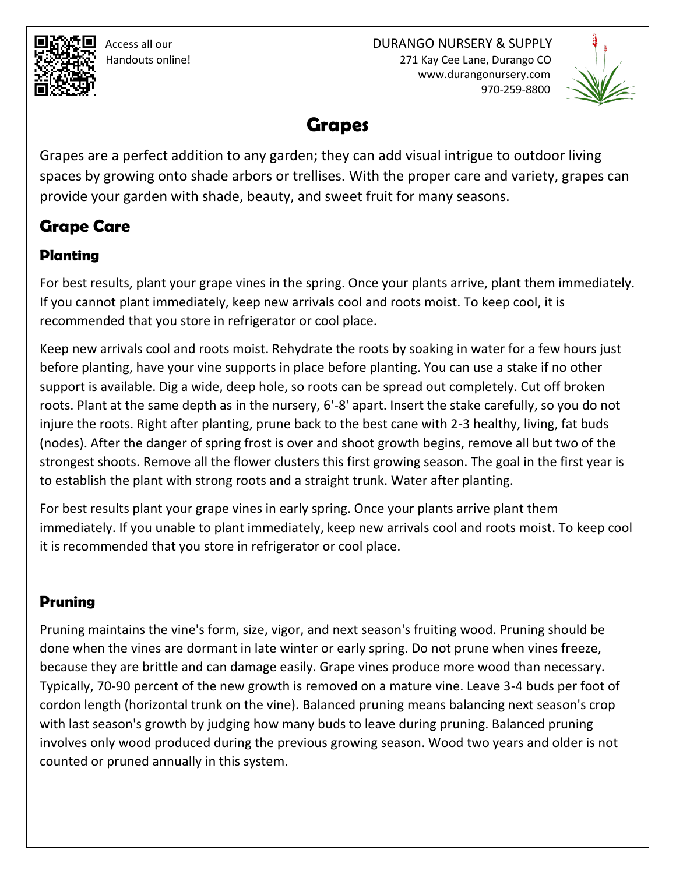Access all our DURANGO NURSERY & SUPPLY Handouts online! 271 Kay Cee Lane, Durango CO www.durangonursery.com 970-259-8800



# **Grapes**

Grapes are a perfect addition to any garden; they can add visual intrigue to outdoor living spaces by growing onto shade arbors or trellises. With the proper care and variety, grapes can provide your garden with shade, beauty, and sweet fruit for many seasons.

# **Grape Care**

## **Planting**

For best results, plant your grape vines in the spring. Once your plants arrive, plant them immediately. If you cannot plant immediately, keep new arrivals cool and roots moist. To keep cool, it is recommended that you store in refrigerator or cool place.

Keep new arrivals cool and roots moist. Rehydrate the roots by soaking in water for a few hours just before planting, have your vine supports in place before planting. You can use a stake if no other support is available. Dig a wide, deep hole, so roots can be spread out completely. Cut off broken roots. Plant at the same depth as in the nursery, 6'-8' apart. Insert the stake carefully, so you do not injure the roots. Right after planting, prune back to the best cane with 2-3 healthy, living, fat buds (nodes). After the danger of spring frost is over and shoot growth begins, remove all but two of the strongest shoots. Remove all the flower clusters this first growing season. The goal in the first year is to establish the plant with strong roots and a straight trunk. Water after planting.

For best results plant your grape vines in early spring. Once your plants arrive plant them immediately. If you unable to plant immediately, keep new arrivals cool and roots moist. To keep cool it is recommended that you store in refrigerator or cool place.

### **Pruning**

Pruning maintains the vine's form, size, vigor, and next season's fruiting wood. Pruning should be done when the vines are dormant in late winter or early spring. Do not prune when vines freeze, because they are brittle and can damage easily. Grape vines produce more wood than necessary. Typically, 70-90 percent of the new growth is removed on a mature vine. Leave 3-4 buds per foot of cordon length (horizontal trunk on the vine). Balanced pruning means balancing next season's crop with last season's growth by judging how many buds to leave during pruning. Balanced pruning involves only wood produced during the previous growing season. Wood two years and older is not counted or pruned annually in this system.